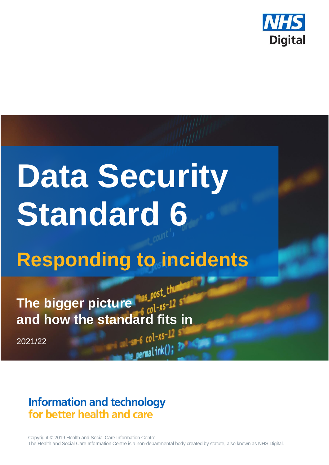

# **Data Security Standard 6**

## **Responding to incidents**

**The bigger picture and how the standard fits in**

2021/22

## **Information and technology** for better health and care

Copyright © 2019 Health and Social Care Information Centre. The Health and Social Care Information Centre is a non-departmental body created by statute, also known as NHS Digital.

permalink();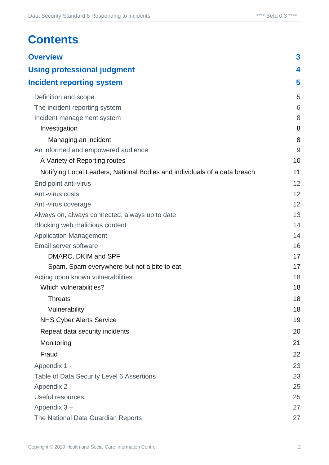## **Contents**

| <b>Overview</b><br><b>Using professional judgment</b>                     |    |  |                                  |
|---------------------------------------------------------------------------|----|--|----------------------------------|
|                                                                           |    |  | <b>Incident reporting system</b> |
| Definition and scope                                                      | 5  |  |                                  |
| The incident reporting system                                             | 6  |  |                                  |
| Incident management system                                                | 8  |  |                                  |
| Investigation                                                             | 8  |  |                                  |
| Managing an incident                                                      | 8  |  |                                  |
| An informed and empowered audience                                        | 9  |  |                                  |
| A Variety of Reporting routes                                             | 10 |  |                                  |
| Notifying Local Leaders, National Bodies and individuals of a data breach | 11 |  |                                  |
| End point anti-virus                                                      | 12 |  |                                  |
| Anti-virus costs                                                          | 12 |  |                                  |
| Anti-virus coverage                                                       | 12 |  |                                  |
| Always on, always connected, always up to date                            | 13 |  |                                  |
| Blocking web malicious content                                            | 14 |  |                                  |
| <b>Application Management</b>                                             | 14 |  |                                  |
| Email server software                                                     | 16 |  |                                  |
| DMARC, DKIM and SPF                                                       | 17 |  |                                  |
| Spam, Spam everywhere but not a bite to eat                               | 17 |  |                                  |
| Acting upon known vulnerabilities                                         | 18 |  |                                  |
| Which vulnerabilities?                                                    | 18 |  |                                  |
| Threats                                                                   | 18 |  |                                  |
| Vulnerability                                                             | 18 |  |                                  |
| <b>NHS Cyber Alerts Service</b>                                           | 19 |  |                                  |
| Repeat data security incidents                                            | 20 |  |                                  |
| Monitoring                                                                | 21 |  |                                  |
| Fraud                                                                     | 22 |  |                                  |
| Appendix 1 -                                                              | 23 |  |                                  |
| Table of Data Security Level 6 Assertions                                 | 23 |  |                                  |
| Appendix 2 -                                                              | 25 |  |                                  |
| Useful resources                                                          | 25 |  |                                  |
| Appendix 3-                                                               | 27 |  |                                  |
| The National Data Guardian Reports                                        | 27 |  |                                  |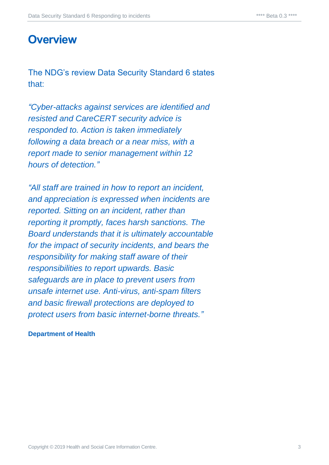## <span id="page-2-0"></span>**Overview**

The NDG's review Data Security Standard 6 states that:

*"Cyber-attacks against services are identified and resisted and CareCERT security advice is responded to. Action is taken immediately following a data breach or a near miss, with a report made to senior management within 12 hours of detection."*

*"All staff are trained in how to report an incident, and appreciation is expressed when incidents are reported. Sitting on an incident, rather than reporting it promptly, faces harsh sanctions. The Board understands that it is ultimately accountable for the impact of security incidents, and bears the responsibility for making staff aware of their responsibilities to report upwards. Basic safeguards are in place to prevent users from unsafe internet use. Anti-virus, anti-spam filters and basic firewall protections are deployed to protect users from basic internet-borne threats."*

#### **Department of Health**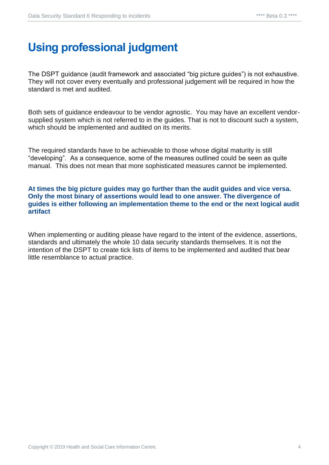## <span id="page-3-0"></span>**Using professional judgment**

The DSPT guidance (audit framework and associated "big picture guides") is not exhaustive. They will not cover every eventually and professional judgement will be required in how the standard is met and audited.

Both sets of guidance endeavour to be vendor agnostic. You may have an excellent vendorsupplied system which is not referred to in the guides. That is not to discount such a system, which should be implemented and audited on its merits.

The required standards have to be achievable to those whose digital maturity is still "developing". As a consequence, some of the measures outlined could be seen as quite manual. This does not mean that more sophisticated measures cannot be implemented.

**At times the big picture guides may go further than the audit guides and vice versa. Only the most binary of assertions would lead to one answer. The divergence of guides is either following an implementation theme to the end or the next logical audit artifact**

When implementing or auditing please have regard to the intent of the evidence, assertions, standards and ultimately the whole 10 data security standards themselves. It is not the intention of the DSPT to create tick lists of items to be implemented and audited that bear little resemblance to actual practice.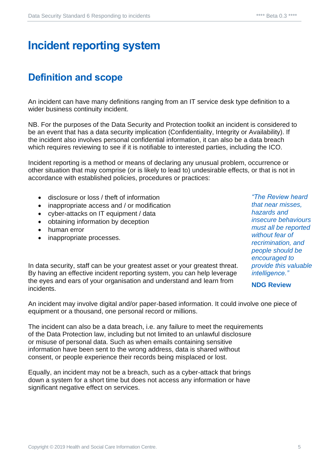## <span id="page-4-0"></span>**Incident reporting system**

## <span id="page-4-1"></span>**Definition and scope**

An incident can have many definitions ranging from an IT service desk type definition to a wider business continuity incident.

NB. For the purposes of the Data Security and Protection toolkit an incident is considered to be an event that has a data security implication (Confidentiality, Integrity or Availability). If the incident also involves personal confidential information, it can also be a data breach which requires reviewing to see if it is notifiable to interested parties, including the ICO.

Incident reporting is a method or means of declaring any unusual problem, occurrence or other situation that may comprise (or is likely to lead to) undesirable effects, or that is not in accordance with established policies, procedures or practices:

- disclosure or loss / theft of information
- inappropriate access and / or modification
- cyber-attacks on IT equipment / data
- obtaining information by deception
- human error
- inappropriate processes.

In data security, staff can be your greatest asset or your greatest threat. By having an effective incident reporting system, you can help leverage the eyes and ears of your organisation and understand and learn from incidents.

*"The Review heard that near misses, hazards and insecure behaviours must all be reported without fear of recrimination, and people should be encouraged to provide this valuable intelligence."*

**NDG Review** 

An incident may involve digital and/or paper-based information. It could involve one piece of equipment or a thousand, one personal record or millions.

The incident can also be a data breach, i.e. any failure to meet the requirements of the Data Protection law, including but not limited to an unlawful disclosure or misuse of personal data. Such as when emails containing sensitive information have been sent to the wrong address, data is shared without consent, or people experience their records being misplaced or lost.

Equally, an incident may not be a breach, such as a cyber-attack that brings down a system for a short time but does not access any information or have significant negative effect on services.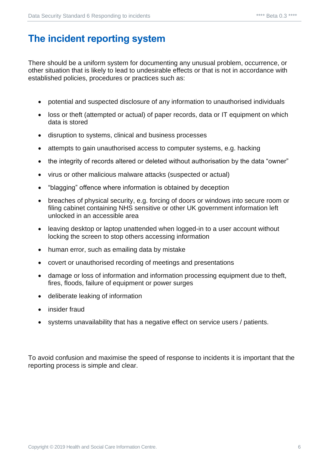## <span id="page-5-0"></span>**The incident reporting system**

There should be a uniform system for documenting any unusual problem, occurrence, or other situation that is likely to lead to undesirable effects or that is not in accordance with established policies, procedures or practices such as:

- potential and suspected disclosure of any information to unauthorised individuals
- loss or theft (attempted or actual) of paper records, data or IT equipment on which data is stored
- disruption to systems, clinical and business processes
- attempts to gain unauthorised access to computer systems, e.g. hacking
- the integrity of records altered or deleted without authorisation by the data "owner"
- virus or other malicious malware attacks (suspected or actual)
- "blagging" offence where information is obtained by deception
- breaches of physical security, e.g. forcing of doors or windows into secure room or filing cabinet containing NHS sensitive or other UK government information left unlocked in an accessible area
- leaving desktop or laptop unattended when logged-in to a user account without locking the screen to stop others accessing information
- human error, such as emailing data by mistake
- covert or unauthorised recording of meetings and presentations
- damage or loss of information and information processing equipment due to theft, fires, floods, failure of equipment or power surges
- deliberate leaking of information
- insider fraud
- systems unavailability that has a negative effect on service users / patients.

To avoid confusion and maximise the speed of response to incidents it is important that the reporting process is simple and clear.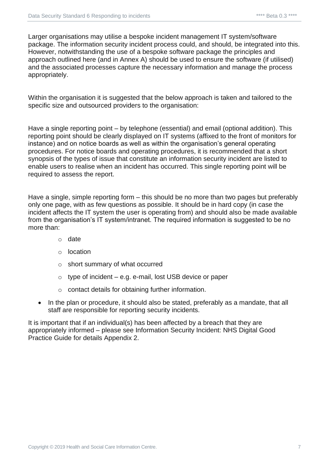Larger organisations may utilise a bespoke incident management IT system/software package. The information security incident process could, and should, be integrated into this. However, notwithstanding the use of a bespoke software package the principles and approach outlined here (and in Annex A) should be used to ensure the software (if utilised) and the associated processes capture the necessary information and manage the process appropriately.

Within the organisation it is suggested that the below approach is taken and tailored to the specific size and outsourced providers to the organisation:

Have a single reporting point – by telephone (essential) and email (optional addition). This reporting point should be clearly displayed on IT systems (affixed to the front of monitors for instance) and on notice boards as well as within the organisation's general operating procedures. For notice boards and operating procedures, it is recommended that a short synopsis of the types of issue that constitute an information security incident are listed to enable users to realise when an incident has occurred. This single reporting point will be required to assess the report.

Have a single, simple reporting form – this should be no more than two pages but preferably only one page, with as few questions as possible. It should be in hard copy (in case the incident affects the IT system the user is operating from) and should also be made available from the organisation's IT system/intranet. The required information is suggested to be no more than:

- o date
- o location
- o short summary of what occurred
- $\circ$  type of incident e.g. e-mail, lost USB device or paper
- o contact details for obtaining further information.
- In the plan or procedure, it should also be stated, preferably as a mandate, that all staff are responsible for reporting security incidents.

It is important that if an individual(s) has been affected by a breach that they are appropriately informed – please see Information Security Incident: NHS Digital Good Practice Guide for details Appendix 2.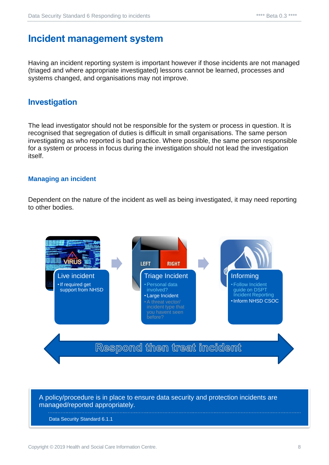## <span id="page-7-0"></span>**Incident management system**

Having an incident reporting system is important however if those incidents are not managed (triaged and where appropriate investigated) lessons cannot be learned, processes and systems changed, and organisations may not improve.

#### <span id="page-7-1"></span>**Investigation**

The lead investigator should not be responsible for the system or process in question. It is recognised that segregation of duties is difficult in small organisations. The same person investigating as who reported is bad practice. Where possible, the same person responsible for a system or process in focus during the investigation should not lead the investigation itself.

#### <span id="page-7-2"></span>**Managing an incident**

Dependent on the nature of the incident as well as being investigated, it may need reporting to other bodies.



#### A policy/procedure is in place to ensure data security and protection incidents are managed/reported appropriately.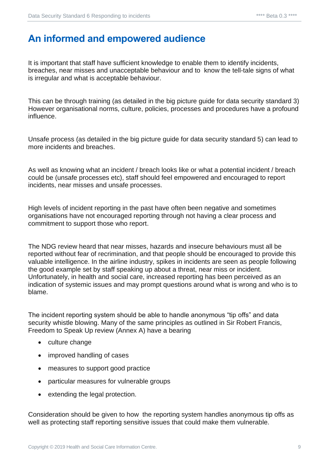## <span id="page-8-0"></span>**An informed and empowered audience**

It is important that staff have sufficient knowledge to enable them to identify incidents, breaches, near misses and unacceptable behaviour and to know the tell-tale signs of what is irregular and what is acceptable behaviour.

This can be through training (as detailed in the big picture guide for data security standard 3) However organisational norms, culture, policies, processes and procedures have a profound influence.

Unsafe process (as detailed in the big picture guide for data security standard 5) can lead to more incidents and breaches.

As well as knowing what an incident / breach looks like or what a potential incident / breach could be (unsafe processes etc), staff should feel empowered and encouraged to report incidents, near misses and unsafe processes.

High levels of incident reporting in the past have often been negative and sometimes organisations have not encouraged reporting through not having a clear process and commitment to support those who report.

The NDG review heard that near misses, hazards and insecure behaviours must all be reported without fear of recrimination, and that people should be encouraged to provide this valuable intelligence. In the airline industry, spikes in incidents are seen as people following the good example set by staff speaking up about a threat, near miss or incident. Unfortunately, in health and social care, increased reporting has been perceived as an indication of systemic issues and may prompt questions around what is wrong and who is to blame.

The incident reporting system should be able to handle anonymous "tip offs" and data security whistle blowing. Many of the same principles as outlined in Sir Robert Francis, Freedom to Speak Up review (Annex A) have a bearing

- culture change
- improved handling of cases
- measures to support good practice
- particular measures for vulnerable groups
- extending the legal protection.

Consideration should be given to how the reporting system handles anonymous tip offs as well as protecting staff reporting sensitive issues that could make them vulnerable.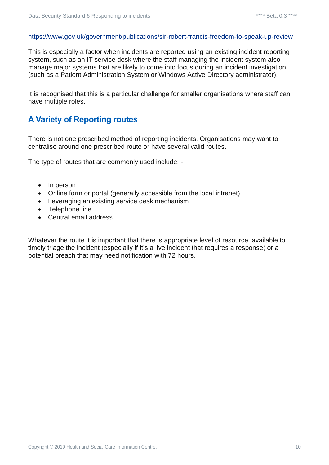#### <https://www.gov.uk/government/publications/sir-robert-francis-freedom-to-speak-up-review>

This is especially a factor when incidents are reported using an existing incident reporting system, such as an IT service desk where the staff managing the incident system also manage major systems that are likely to come into focus during an incident investigation (such as a Patient Administration System or Windows Active Directory administrator).

It is recognised that this is a particular challenge for smaller organisations where staff can have multiple roles.

#### <span id="page-9-0"></span>**A Variety of Reporting routes**

There is not one prescribed method of reporting incidents. Organisations may want to centralise around one prescribed route or have several valid routes.

The type of routes that are commonly used include: -

- In person
- Online form or portal (generally accessible from the local intranet)
- Leveraging an existing service desk mechanism
- Telephone line
- Central email address

Whatever the route it is important that there is appropriate level of resource available to timely triage the incident (especially if it's a live incident that requires a response) or a potential breach that may need notification with 72 hours.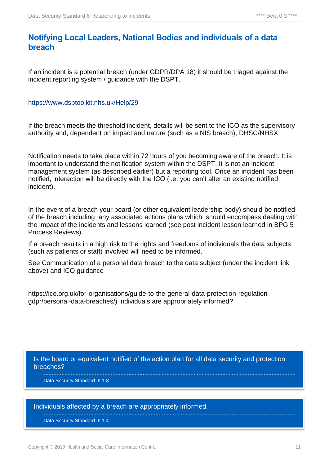#### <span id="page-10-0"></span>**Notifying Local Leaders, National Bodies and individuals of a data breach**

If an incident is a potential breach (under GDPR/DPA 18) it should be triaged against the incident reporting system / guidance with the DSPT.

#### <https://www.dsptoolkit.nhs.uk/Help/29>

If the breach meets the threshold incident, details will be sent to the ICO as the supervisory authority and, dependent on impact and nature (such as a NIS breach), DHSC/NHSX

Notification needs to take place within 72 hours of you becoming aware of the breach. It is important to understand the notification system within the DSPT. It is not an incident management system (as described earlier) but a reporting tool. Once an incident has been notified, interaction will be directly with the ICO (i.e. you can't alter an existing notified incident).

In the event of a breach your board (or other equivalent leadership body) should be notified of the breach including any associated actions plans which should encompass dealing with the impact of the incidents and lessons learned (see post incident lesson learned in BPG 5 Process Reviews).

If a breach results in a high risk to the rights and freedoms of individuals the data subjects (such as patients or staff) involved will need to be informed.

See Communication of a personal data breach to the data subject (under the incident link above) and ICO guidance

https://ico.org.uk/for-organisations/guide-to-the-general-data-protection-regulationgdpr/personal-data-breaches/) individuals are appropriately informed?

Is the board or equivalent notified of the action plan for all data security and protection breaches?

Data Security Standard 6.1.3

Individuals affected by a breach are appropriately informed.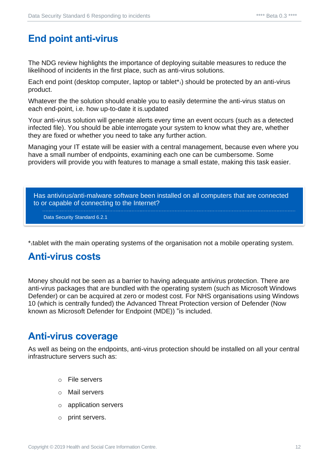## <span id="page-11-0"></span>**End point anti-virus**

The NDG review highlights the importance of deploying suitable measures to reduce the likelihood of incidents in the first place, such as anti-virus solutions.

Each end point (desktop computer, laptop or tablet<sup>\*</sup><sub>1</sub>) should be protected by an anti-virus product.

Whatever the the solution should enable you to easily determine the anti-virus status on each end-point, i.e. how up-to-date it is.updated

Your anti-virus solution will generate alerts every time an event occurs (such as a detected infected file). You should be able interrogate your system to know what they are, whether they are fixed or whether you need to take any further action.

Managing your IT estate will be easier with a central management, because even where you have a small number of endpoints, examining each one can be cumbersome. Some providers will provide you with features to manage a small estate, making this task easier.

Has antivirus/anti-malware software been installed on all computers that are connected to or capable of connecting to the Internet?

Data Security Standard 6.2.1

\*1tablet with the main operating systems of the organisation not a mobile operating system.

### <span id="page-11-1"></span>**Anti-virus costs**

Money should not be seen as a barrier to having adequate antivirus protection. There are anti-virus packages that are bundled with the operating system (such as Microsoft Windows Defender) or can be acquired at zero or modest cost. For NHS organisations using Windows 10 (which is centrally funded) the Advanced Threat Protection version of Defender (Now known as Microsoft Defender for Endpoint (MDE)) "is included.

## <span id="page-11-2"></span>**Anti-virus coverage**

As well as being on the endpoints, anti-virus protection should be installed on all your central infrastructure servers such as:

- o File servers
- o Mail servers
- o application servers
- o print servers.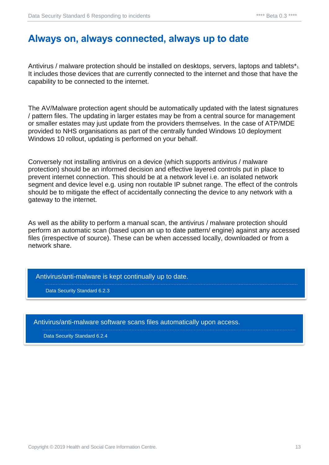## <span id="page-12-0"></span>**Always on, always connected, always up to date**

Antivirus / malware protection should be installed on desktops, servers, laptops and tablets<sup>\*</sup><sub>1</sub>. It includes those devices that are currently connected to the internet and those that have the capability to be connected to the internet.

The AV/Malware protection agent should be automatically updated with the latest signatures / pattern files. The updating in larger estates may be from a central source for management or smaller estates may just update from the providers themselves. In the case of ATP/MDE provided to NHS organisations as part of the centrally funded Windows 10 deployment Windows 10 rollout, updating is performed on your behalf.

Conversely not installing antivirus on a device (which supports antivirus / malware protection) should be an informed decision and effective layered controls put in place to prevent internet connection. This should be at a network level i.e. an isolated network segment and device level e.g. using non routable IP subnet range. The effect of the controls should be to mitigate the effect of accidentally connecting the device to any network with a gateway to the internet.

As well as the ability to perform a manual scan, the antivirus / malware protection should perform an automatic scan (based upon an up to date pattern/ engine) against any accessed files (irrespective of source). These can be when accessed locally, downloaded or from a network share.

Antivirus/anti-malware is kept continually up to date.

Data Security Standard 6.2.3

Antivirus/anti-malware software scans files automatically upon access.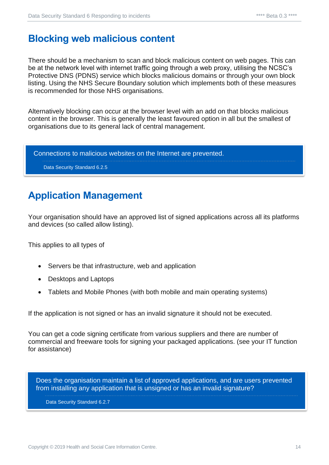## <span id="page-13-0"></span>**Blocking web malicious content**

There should be a mechanism to scan and block malicious content on web pages. This can be at the network level with internet traffic going through a web proxy, utilising the NCSC's Protective DNS (PDNS) service which blocks malicious domains or through your own block listing. Using the NHS Secure Boundary solution which implements both of these measures is recommended for those NHS organisations.

Alternatively blocking can occur at the browser level with an add on that blocks malicious content in the browser. This is generally the least favoured option in all but the smallest of organisations due to its general lack of central management.

Connections to malicious websites on the Internet are prevented. Data Security Standard 6.2.5

## <span id="page-13-1"></span>**Application Management**

Your organisation should have an approved list of signed applications across all its platforms and devices (so called allow listing).

This applies to all types of

- Servers be that infrastructure, web and application
- Desktops and Laptops
- Tablets and Mobile Phones (with both mobile and main operating systems)

If the application is not signed or has an invalid signature it should not be executed.

You can get a code signing certificate from various suppliers and there are number of commercial and freeware tools for signing your packaged applications. (see your IT function for assistance)

Does the organisation maintain a list of approved applications, and are users prevented from installing any application that is unsigned or has an invalid signature?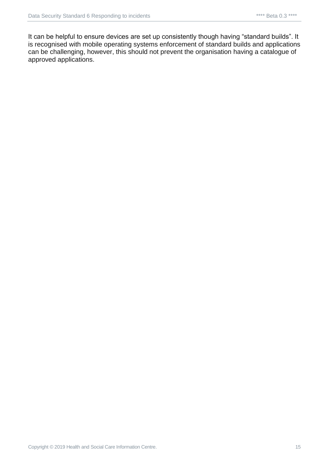It can be helpful to ensure devices are set up consistently though having "standard builds". It is recognised with mobile operating systems enforcement of standard builds and applications can be challenging, however, this should not prevent the organisation having a catalogue of approved applications.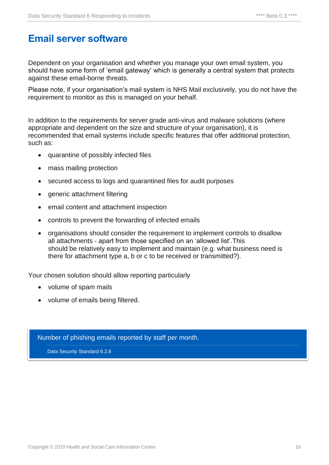## <span id="page-15-0"></span>**Email server software**

Dependent on your organisation and whether you manage your own email system, you should have some form of 'email gateway' which is generally a central system that protects against these email-borne threats.

Please note, if your organisation's mail system is NHS Mail exclusively, you do not have the requirement to monitor as this is managed on your behalf.

In addition to the requirements for server grade anti-virus and malware solutions (where appropriate and dependent on the size and structure of your organisation), it is recommended that email systems include specific features that offer additional protection, such as:

- quarantine of possibly infected files
- mass mailing protection
- secured access to logs and quarantined files for audit purposes
- generic attachment filtering
- email content and attachment inspection
- controls to prevent the forwarding of infected emails
- organisations should consider the requirement to implement controls to disallow all attachments - apart from those specified on an 'allowed list'.This should be relatively easy to implement and maintain (e.g. what business need is there for attachment type a, b or c to be received or transmitted?).

Your chosen solution should allow reporting particularly

- volume of spam mails
- volume of emails being filtered.

Number of phishing emails reported by staff per month. Data Security Standard 6.2.6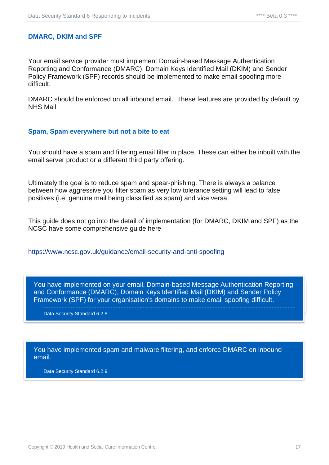#### <span id="page-16-0"></span>**DMARC, DKIM and SPF**

Your email service provider must implement Domain-based Message Authentication Reporting and Conformance (DMARC), Domain Keys Identified Mail (DKIM) and Sender Policy Framework (SPF) records should be implemented to make email spoofing more difficult.

DMARC should be enforced on all inbound email. These features are provided by default by NHS Mail

#### <span id="page-16-1"></span>**Spam, Spam everywhere but not a bite to eat**

You should have a spam and filtering email filter in place. These can either be inbuilt with the email server product or a different third party offering.

Ultimately the goal is to reduce spam and spear-phishing. There is always a balance between how aggressive you filter spam as very low tolerance setting will lead to false positives (i.e. genuine mail being classified as spam) and vice versa.

This guide does not go into the detail of implementation (for DMARC, DKIM and SPF) as the NCSC have some comprehensive guide here

<https://www.ncsc.gov.uk/guidance/email-security-and-anti-spoofing>

and Conformance (DMARC), Domain Keys Identified Mail (DKIM) and Sender Policy You have implemented on your email, Domain-based Message Authentication Reporting Framework (SPF) for your organisation's domains to make email spoofing difficult.

Data Security Standard 6.2.8

You have implemented spam and malware filtering, and enforce DMARC on inbound email.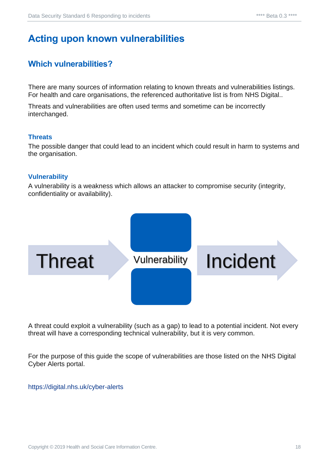## <span id="page-17-0"></span>**Acting upon known vulnerabilities**

#### <span id="page-17-1"></span>**Which vulnerabilities?**

There are many sources of information relating to known threats and vulnerabilities listings. For health and care organisations, the referenced authoritative list is from NHS Digital..

Threats and vulnerabilities are often used terms and sometime can be incorrectly interchanged.

#### <span id="page-17-2"></span>**Threats**

The possible danger that could lead to an incident which could result in harm to systems and the organisation.

#### <span id="page-17-3"></span>**Vulnerability**

A vulnerability is a weakness which allows an attacker to compromise security (integrity, confidentiality or availability).



A threat could exploit a vulnerability (such as a gap) to lead to a potential incident. Not every threat will have a corresponding technical vulnerability, but it is very common.

For the purpose of this guide the scope of vulnerabilities are those listed on the NHS Digital Cyber Alerts portal.

#### <https://digital.nhs.uk/cyber-alerts>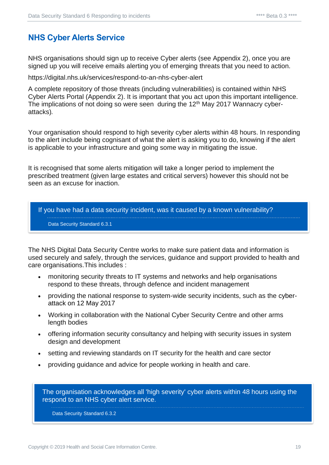#### <span id="page-18-0"></span>**NHS Cyber Alerts Service**

NHS organisations should sign up to receive Cyber alerts (see Appendix 2), once you are signed up you will receive emails alerting you of emerging threats that you need to action.

https://digital.nhs.uk/services/respond-to-an-nhs-cyber-alert

A complete repository of those threats (including vulnerabilities) is contained within NHS Cyber Alerts Portal (Appendix 2). It is important that you act upon this important intelligence. The implications of not doing so were seen during the  $12<sup>th</sup>$  May 2017 Wannacry cyberattacks)*.*

Your organisation should respond to high severity cyber alerts within 48 hours. In responding to the alert include being cognisant of what the alert is asking you to do, knowing if the alert is applicable to your infrastructure and going some way in mitigating the issue.

It is recognised that some alerts mitigation will take a longer period to implement the prescribed treatment (given large estates and critical servers) however this should not be seen as an excuse for inaction.

If you have had a data security incident, was it caused by a known vulnerability?

Data Security Standard 6.3.1

The NHS Digital Data Security Centre works to make sure patient data and information is used securely and safely, through the services, guidance and support provided to health and care organisations.This includes :

- monitoring security threats to IT systems and networks and help organisations respond to these threats, through defence and incident management
- providing the national response to system-wide security incidents, such as the [cyber](https://digital.nhs.uk/article/1495/Latest-guidance-for-NHS-on-protecting-against-cyber-attack)[attack on 12 May 2017](https://digital.nhs.uk/article/1495/Latest-guidance-for-NHS-on-protecting-against-cyber-attack)
- Working in collaboration with the National Cyber Security Centre and other arms length bodies
- offering information security consultancy and helping with security issues in system design and development
- setting and reviewing standards on IT security for the health and care sector
- providing guidance and advice for people working in health and care.

The organisation acknowledges all 'high severity' cyber alerts within 48 hours using the respond to an NHS cyber alert service.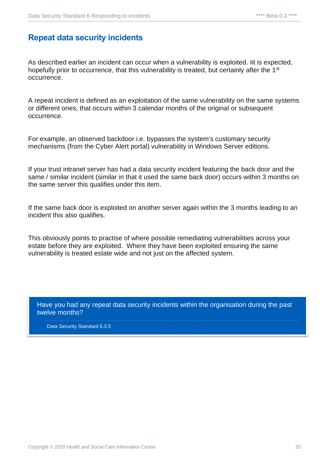#### <span id="page-19-0"></span>**Repeat data security incidents**

As described earlier an incident can occur when a vulnerability is exploited. Iit is expected, hopefully prior to occurrence, that this vulnerability is treated, but certainly after the 1<sup>st</sup> occurrence.

A repeat incident is defined as an exploitation of the same vulnerability on the same systems or different ones, that occurs within 3 calendar months of the original or subsequent occurrence.

For example, an observed backdoor i.e. bypasses the system's customary security mechanisms (from the Cyber Alert portal) vulnerability in Windows Server editions.

If your trust intranet server has had a data security incident featuring the back door and the same / similar incident (similar in that it used the same back door) occurs within 3 months on the same server this qualifies under this item.

If the same back door is exploited on another server again within the 3 months leading to an incident this also qualifies.

This obviously points to practise of where possible remediating vulnerabilities across your estate before they are exploited. Where they have been exploited ensuring the same vulnerability is treated estate wide and not just on the affected system.

Have you had any repeat data security incidents within the organisation during the past twelve months?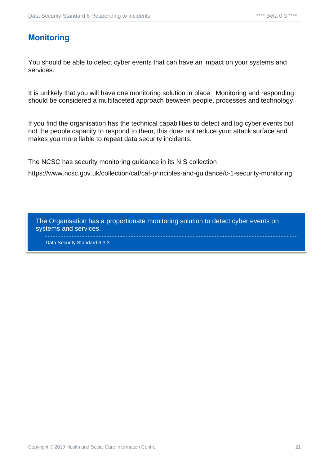#### <span id="page-20-0"></span>**Monitoring**

You should be able to detect cyber events that can have an impact on your systems and services.

It is unlikely that you will have one monitoring solution in place. Monitoring and responding should be considered a multifaceted approach between people, processes and technology.

If you find the organisation has the technical capabilities to detect and log cyber events but not the people capacity to respond to them, this does not reduce your attack surface and makes you more liable to repeat data security incidents.

The NCSC has security monitoring guidance in its NIS collection

https://www.ncsc.gov.uk/collection/caf/caf-principles-and-guidance/c-1-security-monitoring

The Organisation has a proportionate monitoring solution to detect cyber events on systems and services.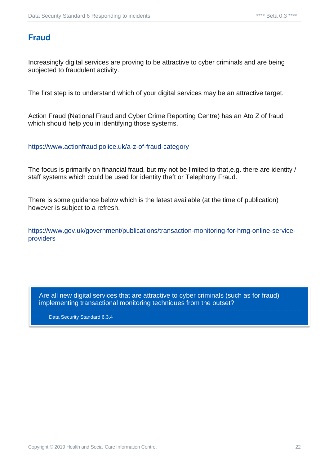#### <span id="page-21-0"></span>**Fraud**

Increasingly digital services are proving to be attractive to cyber criminals and are being subjected to fraudulent activity.

The first step is to understand which of your digital services may be an attractive target.

Action Fraud (National Fraud and Cyber Crime Reporting Centre) has an Ato Z of fraud which should help you in identifying those systems.

<https://www.actionfraud.police.uk/a-z-of-fraud-category>

The focus is primarily on financial fraud, but my not be limited to that,e.g. there are identity / staff systems which could be used for identity theft or Telephony Fraud.

There is some guidance below which is the latest available (at the time of publication) however is subject to a refresh.

[https://www.gov.uk/government/publications/transaction-monitoring-for-hmg-online-service](https://www.gov.uk/government/publications/transaction-monitoring-for-hmg-online-service-providers)[providers](https://www.gov.uk/government/publications/transaction-monitoring-for-hmg-online-service-providers)

Are all new digital services that are attractive to cyber criminals (such as for fraud) implementing transactional monitoring techniques from the outset?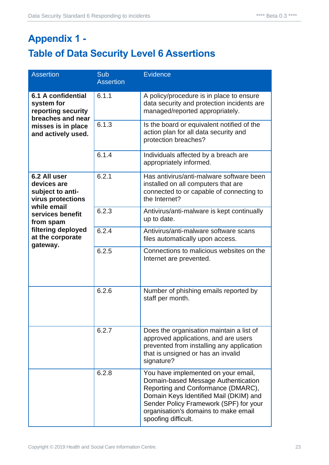## <span id="page-22-1"></span><span id="page-22-0"></span>**Appendix 1 - Table of Data Security Level 6 Assertions**

| <b>Assertion</b>                                                                                                                                                           | Sub<br><b>Assertion</b> | <b>Evidence</b>                                                                                                                                                                                                                                                     |
|----------------------------------------------------------------------------------------------------------------------------------------------------------------------------|-------------------------|---------------------------------------------------------------------------------------------------------------------------------------------------------------------------------------------------------------------------------------------------------------------|
| 6.1 A confidential<br>system for<br>reporting security<br>breaches and near<br>misses is in place<br>and actively used.                                                    | 6.1.1                   | A policy/procedure is in place to ensure<br>data security and protection incidents are<br>managed/reported appropriately.                                                                                                                                           |
|                                                                                                                                                                            | 6.1.3                   | Is the board or equivalent notified of the<br>action plan for all data security and<br>protection breaches?                                                                                                                                                         |
|                                                                                                                                                                            | 6.1.4                   | Individuals affected by a breach are<br>appropriately informed.                                                                                                                                                                                                     |
| 6.2 All user<br>devices are<br>subject to anti-<br>virus protections<br>while email<br>services benefit<br>from spam<br>filtering deployed<br>at the corporate<br>gateway. | 6.2.1                   | Has antivirus/anti-malware software been<br>installed on all computers that are<br>connected to or capable of connecting to<br>the Internet?                                                                                                                        |
|                                                                                                                                                                            | 6.2.3                   | Antivirus/anti-malware is kept continually<br>up to date.                                                                                                                                                                                                           |
|                                                                                                                                                                            | 6.2.4                   | Antivirus/anti-malware software scans<br>files automatically upon access.                                                                                                                                                                                           |
|                                                                                                                                                                            | 6.2.5                   | Connections to malicious websites on the<br>Internet are prevented.                                                                                                                                                                                                 |
|                                                                                                                                                                            | 6.2.6                   | Number of phishing emails reported by<br>staff per month.                                                                                                                                                                                                           |
|                                                                                                                                                                            | 6.2.7                   | Does the organisation maintain a list of<br>approved applications, and are users<br>prevented from installing any application<br>that is unsigned or has an invalid<br>signature?                                                                                   |
|                                                                                                                                                                            | 6.2.8                   | You have implemented on your email,<br>Domain-based Message Authentication<br>Reporting and Conformance (DMARC),<br>Domain Keys Identified Mail (DKIM) and<br>Sender Policy Framework (SPF) for your<br>organisation's domains to make email<br>spoofing difficult. |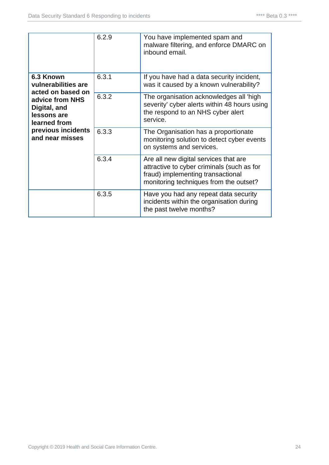|                                                                                                                                                                  | 6.2.9 | You have implemented spam and<br>malware filtering, and enforce DMARC on<br>inbound email.                                                                         |
|------------------------------------------------------------------------------------------------------------------------------------------------------------------|-------|--------------------------------------------------------------------------------------------------------------------------------------------------------------------|
| 6.3 Known<br>vulnerabilities are<br>acted on based on<br>advice from NHS<br>Digital, and<br>lessons are<br>learned from<br>previous incidents<br>and near misses | 6.3.1 | If you have had a data security incident,<br>was it caused by a known vulnerability?                                                                               |
|                                                                                                                                                                  | 6.3.2 | The organisation acknowledges all 'high<br>severity' cyber alerts within 48 hours using<br>the respond to an NHS cyber alert<br>service.                           |
|                                                                                                                                                                  | 6.3.3 | The Organisation has a proportionate<br>monitoring solution to detect cyber events<br>on systems and services.                                                     |
|                                                                                                                                                                  | 6.3.4 | Are all new digital services that are<br>attractive to cyber criminals (such as for<br>fraud) implementing transactional<br>monitoring techniques from the outset? |
|                                                                                                                                                                  | 6.3.5 | Have you had any repeat data security<br>incidents within the organisation during<br>the past twelve months?                                                       |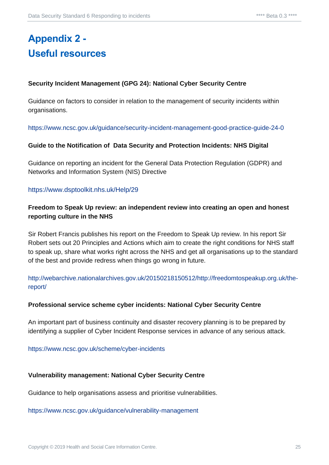## <span id="page-24-1"></span><span id="page-24-0"></span>**Appendix 2 - Useful resources**

#### **Security Incident Management (GPG 24): National Cyber Security Centre**

Guidance on factors to consider in relation to the management of security incidents within organisations.

<https://www.ncsc.gov.uk/guidance/security-incident-management-good-practice-guide-24-0>

#### **Guide to the Notification of Data Security and Protection Incidents: NHS Digital**

Guidance on reporting an incident for the General Data Protection Regulation (GDPR) and Networks and Information System (NIS) Directive

#### <https://www.dsptoolkit.nhs.uk/Help/29>

#### **Freedom to Speak Up review: an independent review into creating an open and honest reporting culture in the NHS**

Sir Robert Francis publishes his report on the Freedom to Speak Up review. In his report Sir Robert sets out 20 Principles and Actions which aim to create the right conditions for NHS staff to speak up, share what works right across the NHS and get all organisations up to the standard of the best and provide redress when things go wrong in future.

[http://webarchive.nationalarchives.gov.uk/20150218150512/http://freedomtospeakup.org.uk/the](http://webarchive.nationalarchives.gov.uk/20150218150512/http:/freedomtospeakup.org.uk/the-report/)[report/](http://webarchive.nationalarchives.gov.uk/20150218150512/http:/freedomtospeakup.org.uk/the-report/)

#### **Professional service scheme cyber incidents: National Cyber Security Centre**

An important part of business continuity and disaster recovery planning is to be prepared by identifying a supplier of Cyber Incident Response services in advance of any serious attack.

<https://www.ncsc.gov.uk/scheme/cyber-incidents>

#### **Vulnerability management: National Cyber Security Centre**

Guidance to help organisations assess and prioritise vulnerabilities.

<https://www.ncsc.gov.uk/guidance/vulnerability-management>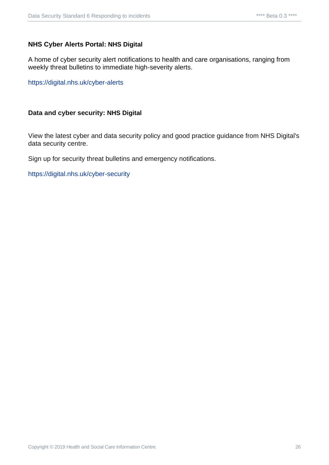#### **NHS Cyber Alerts Portal: NHS Digital**

A home of cyber security alert notifications to health and care organisations, ranging from weekly threat bulletins to immediate high-severity alerts.

<https://digital.nhs.uk/cyber-alerts>

#### **Data and cyber security: NHS Digital**

View the latest cyber and data security policy and good practice guidance from NHS Digital's data security centre.

Sign up for security threat bulletins and emergency notifications.

<https://digital.nhs.uk/cyber-security>